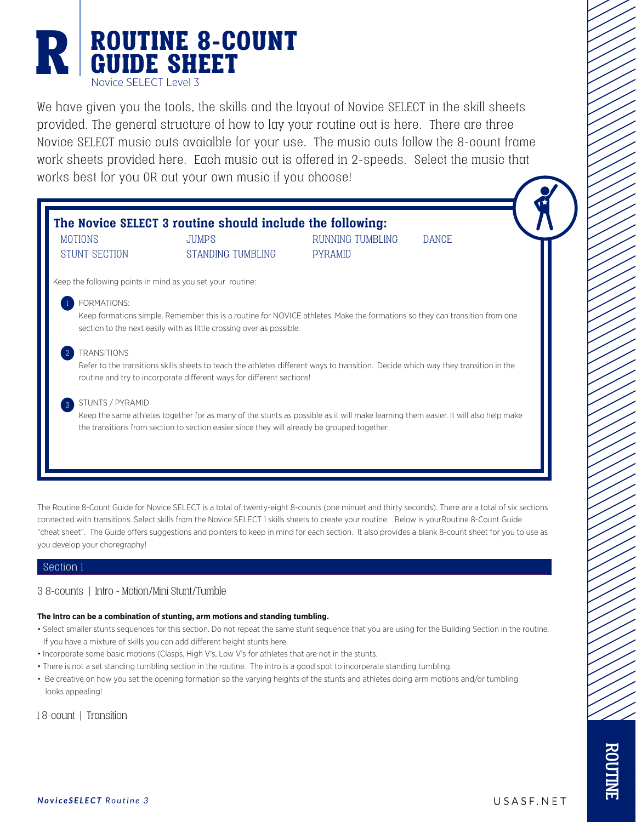### ROUTINE 8-COUNT R ROUTINE 8-C Novice SELECT Level 3

We have given you the tools, the skills and the layout of Novice SELECT in the skill sheets provided. The general structure of how to lay your routine out is here. There are three Novice SELECT music cuts avaialble for your use. The music cuts follow the 8-count frame work sheets provided here. Each music cut is offered in 2-speeds. Select the music that works best for you OR cut your own music if you choose!

| <b>MOTIONS</b><br><b>STUNT SECTION</b> | <b>JUMPS</b><br>STANDING TUMBLING                                                                                                  | RUNNING TUMBLING<br><b>PYRAMID</b> | <b>DANCE</b> |  |
|----------------------------------------|------------------------------------------------------------------------------------------------------------------------------------|------------------------------------|--------------|--|
|                                        |                                                                                                                                    |                                    |              |  |
|                                        | Keep the following points in mind as you set your routine:                                                                         |                                    |              |  |
| FORMATIONS:                            |                                                                                                                                    |                                    |              |  |
|                                        | Keep formations simple. Remember this is a routine for NOVICE athletes. Make the formations so they can transition from one        |                                    |              |  |
|                                        | section to the next easily with as little crossing over as possible.                                                               |                                    |              |  |
| <b>TRANSITIONS</b>                     |                                                                                                                                    |                                    |              |  |
|                                        | Refer to the transitions skills sheets to teach the athletes different ways to transition. Decide which way they transition in the |                                    |              |  |
|                                        | routine and try to incorporate different ways for different sections!                                                              |                                    |              |  |
| STUNTS / PYRAMID<br>3                  |                                                                                                                                    |                                    |              |  |
|                                        | Keep the same athletes together for as many of the stunts as possible as it will make learning them easier. It will also help make |                                    |              |  |
|                                        | the transitions from section to section easier since they will already be grouped together.                                        |                                    |              |  |

The Routine 8-Count Guide for Novice SELECT is a total of twenty-eight 8-counts (one minuet and thirty seconds). There are a total of six sections connected with transitions. Select skills from the Novice SELECT 1 skills sheets to create your routine. Below is yourRoutine 8-Count Guide "cheat sheet". The Guide offers suggestions and pointers to keep in mind for each section. It also provides a blank 8-count sheet for you to use as you develop your choregraphy!

#### Section 1

#### 3 8-counts | Intro - Motion/Mini Stunt/Tumble

#### **The Intro can be a combination of stunting, arm motions and standing tumbling.**

- Select smaller stunts sequences for this section. Do not repeat the same stunt sequence that you are using for the Building Section in the routine. If you have a mixture of skills you can add different height stunts here.
- Incorporate some basic motions (Clasps, High V's, Low V's for athletes that are not in the stunts.
- There is not a set standing tumbling section in the routine. The intro is a good spot to incorperate standing tumbling.
- Be creative on how you set the opening formation so the varying heights of the stunts and athletes doing arm motions and/or tumbling looks appealing!

1 8-count | Transition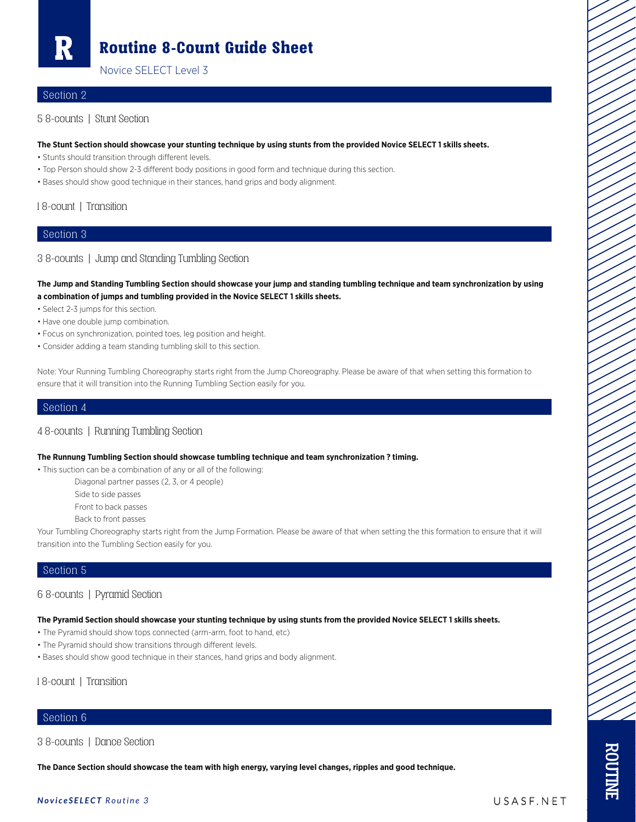R

### Routine 8-Count Guide Sheet

Novice SELECT Level 3

#### Section 2

5 8-counts | Stunt Section

#### **The Stunt Section should showcase your stunting technique by using stunts from the provided Novice SELECT 1 skills sheets.**

- Stunts should transition through different levels.
- Top Person should show 2-3 different body positions in good form and technique during this section.
- Bases should show good technique in their stances, hand grips and body alignment.

#### 1 8-count | Transition

#### Section 3

#### 3 8-counts | Jump and Standing Tumbling Section

**The Jump and Standing Tumbling Section should showcase your jump and standing tumbling technique and team synchronization by using a combination of jumps and tumbling provided in the Novice SELECT 1 skills sheets.**

- Select 2-3 jumps for this section.
- Have one double jump combination.
- Focus on synchronization, pointed toes, leg position and height.
- Consider adding a team standing tumbling skill to this section.

Note: Your Running Tumbling Choreography starts right from the Jump Choreography. Please be aware of that when setting this formation to ensure that it will transition into the Running Tumbling Section easily for you.

#### Section 4

#### 4 8-counts | Running Tumbling Section

#### **The Runnung Tumbling Section should showcase tumbling technique and team synchronization ? timing.**

• This suction can be a combination of any or all of the following:

Diagonal partner passes (2, 3, or 4 people)

Side to side passes

Front to back passes

Back to front passes

Your Tumbling Choreography starts right from the Jump Formation. Please be aware of that when setting the this formation to ensure that it will transition into the Tumbling Section easily for you.

#### Section 5

#### 6 8-counts | Pyramid Section

**The Pyramid Section should showcase your stunting technique by using stunts from the provided Novice SELECT 1 skills sheets.**

- The Pyramid should show tops connected (arm-arm, foot to hand, etc)
- The Pyramid should show transitions through different levels.
- Bases should show good technique in their stances, hand grips and body alignment.

1 8-count | Transition

#### Section 6

3 8-counts | Dance Section

**The Dance Section should showcase the team with high energy, varying level changes, ripples and good technique.**

#### *NoviceSELECT Routine 3* USASF.NET

ROUTINE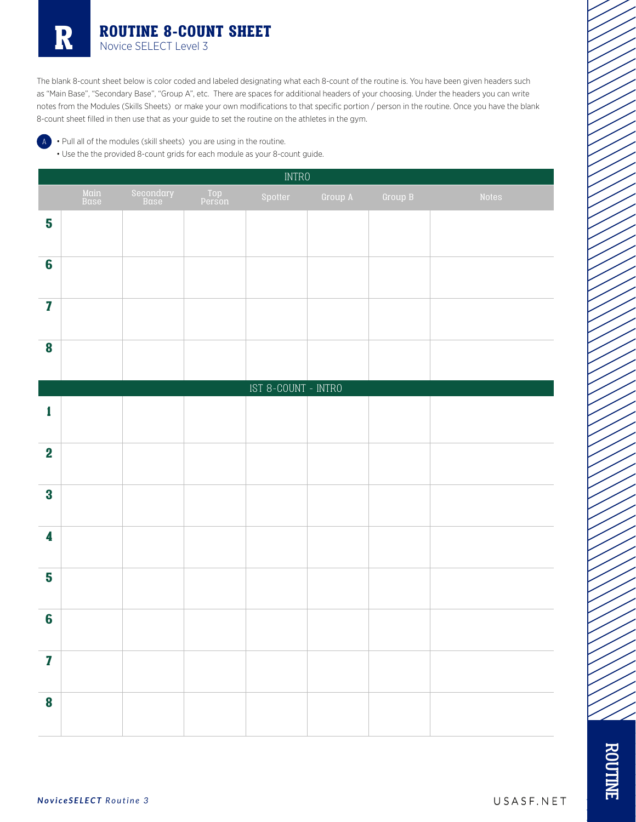The blank 8-count sheet below is color coded and labeled designating what each 8-count of the routine is. You have been given headers such as "Main Base", "Secondary Base", "Group A", etc. There are spaces for additional headers of your choosing. Under the headers you can write notes from the Modules (Skills Sheets) or make your own modifications to that specific portion / person in the routine. Once you have the blank 8-count sheet filled in then use that as your guide to set the routine on the athletes in the gym.

A • Pull all of the modules (skill sheets) you are using in the routine.

• Use the the provided 8-count grids for each module as your 8-count guide.

|                         |              |                   |               | <b>INTRO</b>                   |         |         |       |
|-------------------------|--------------|-------------------|---------------|--------------------------------|---------|---------|-------|
|                         | Main<br>Base | Secondary<br>Base | Top<br>Person | Spotter                        | Group A | Group B | Notes |
| 5                       |              |                   |               |                                |         |         |       |
| $6\phantom{a}$          |              |                   |               |                                |         |         |       |
| $\overline{\mathbf{I}}$ |              |                   |               |                                |         |         |       |
| $\boldsymbol{8}$        |              |                   |               |                                |         |         |       |
|                         |              |                   |               | $\texttt{IST 8-COUNT - INTRO}$ |         |         |       |
| 1                       |              |                   |               |                                |         |         |       |
| $\mathbf 2$             |              |                   |               |                                |         |         |       |
| $\bf{3}$                |              |                   |               |                                |         |         |       |
| 4                       |              |                   |               |                                |         |         |       |
| 5                       |              |                   |               |                                |         |         |       |
| $6\phantom{a}$          |              |                   |               |                                |         |         |       |
| $\mathbf{Z}$            |              |                   |               |                                |         |         |       |
| $\boldsymbol{8}$        |              |                   |               |                                |         |         |       |

/ /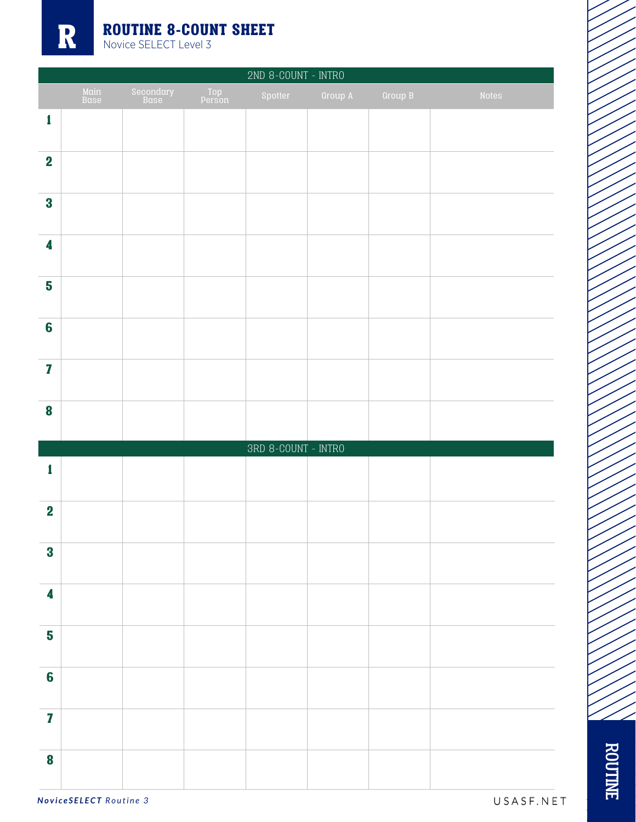

|                         |              |                   |               | 2ND 8-COUNT - INTRO                                |         |         |       |
|-------------------------|--------------|-------------------|---------------|----------------------------------------------------|---------|---------|-------|
|                         | Main<br>Base | Secondary<br>Base | Top<br>Person | Spotter                                            | Group A | Group B | Notes |
| 1                       |              |                   |               |                                                    |         |         |       |
| $\overline{\mathbf{2}}$ |              |                   |               |                                                    |         |         |       |
| $\bf{3}$                |              |                   |               |                                                    |         |         |       |
| 4                       |              |                   |               |                                                    |         |         |       |
| 5                       |              |                   |               |                                                    |         |         |       |
| $6\phantom{1}6$         |              |                   |               |                                                    |         |         |       |
| $\overline{\mathbf{I}}$ |              |                   |               |                                                    |         |         |       |
| $\boldsymbol{8}$        |              |                   |               |                                                    |         |         |       |
|                         |              |                   |               | $\ensuremath{\mathsf{SRD}}\xspace$ 8-COUNT - INTRO |         |         |       |
| 1                       |              |                   |               |                                                    |         |         |       |
| $\boldsymbol{2}$        |              |                   |               |                                                    |         |         |       |
| $\bf{3}$                |              |                   |               |                                                    |         |         |       |
| $\overline{\mathbf{4}}$ |              |                   |               |                                                    |         |         |       |
| $\overline{\mathbf{5}}$ |              |                   |               |                                                    |         |         |       |
| $6\phantom{a}$          |              |                   |               |                                                    |         |         |       |
| $\mathbf{Z}$            |              |                   |               |                                                    |         |         |       |
| $\bf{8}$                |              |                   |               |                                                    |         |         |       |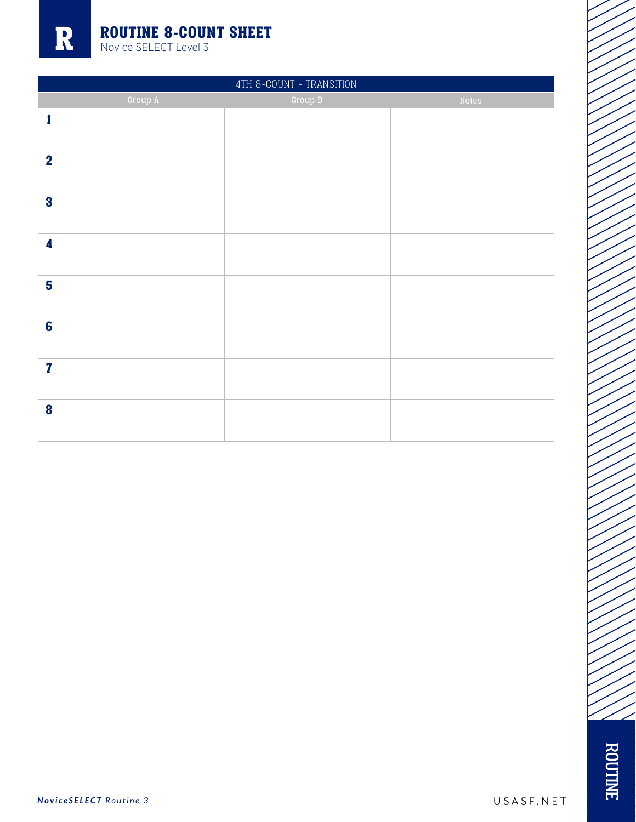|                         | 4TH 8-COUNT - TRANSITION |           |       |  |  |  |  |  |  |
|-------------------------|--------------------------|-----------|-------|--|--|--|--|--|--|
|                         | Group A                  | Group $B$ | Notes |  |  |  |  |  |  |
| 1                       |                          |           |       |  |  |  |  |  |  |
| $\overline{\mathbf{2}}$ |                          |           |       |  |  |  |  |  |  |
| $\bf{3}$                |                          |           |       |  |  |  |  |  |  |
| $\boldsymbol{4}$        |                          |           |       |  |  |  |  |  |  |
| $5\phantom{a}$          |                          |           |       |  |  |  |  |  |  |
| $6\phantom{a}$          |                          |           |       |  |  |  |  |  |  |
| $\mathbf{7}$            |                          |           |       |  |  |  |  |  |  |
| $\boldsymbol{8}$        |                          |           |       |  |  |  |  |  |  |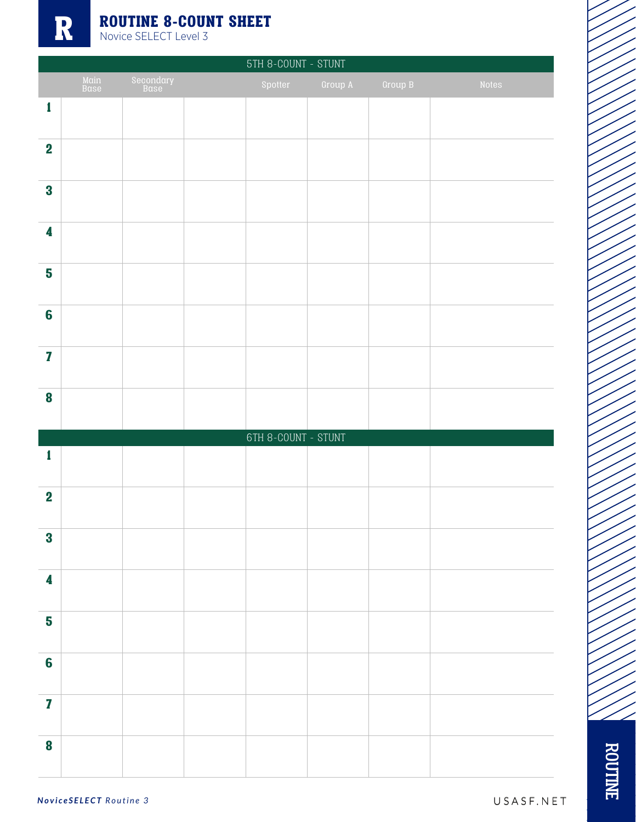|                         |              |                   | 5TH 8-COUNT - STUNT     |         |         |       |
|-------------------------|--------------|-------------------|-------------------------|---------|---------|-------|
|                         | Main<br>Base | Secondary<br>Base | Spotter                 | Group A | Group B | Notes |
| $\mathbf{1}$            |              |                   |                         |         |         |       |
| $\overline{\mathbf{2}}$ |              |                   |                         |         |         |       |
| $\bf{3}$                |              |                   |                         |         |         |       |
| $\overline{\mathbf{4}}$ |              |                   |                         |         |         |       |
| 5                       |              |                   |                         |         |         |       |
| $6\phantom{1}6$         |              |                   |                         |         |         |       |
| $\overline{\mathbf{Z}}$ |              |                   |                         |         |         |       |
| $\bf{8}$                |              |                   |                         |         |         |       |
|                         |              |                   | $6TH$ 8-COUNT - $STUNT$ |         |         |       |
| 1                       |              |                   |                         |         |         |       |
| $\overline{\mathbf{2}}$ |              |                   |                         |         |         |       |
| $\bf{3}$                |              |                   |                         |         |         |       |
| $\overline{\mathbf{4}}$ |              |                   |                         |         |         |       |
| 5                       |              |                   |                         |         |         |       |
| $6\phantom{a}$          |              |                   |                         |         |         |       |
| $\mathbf{Z}$            |              |                   |                         |         |         |       |
| $\bf{8}$                |              |                   |                         |         |         |       |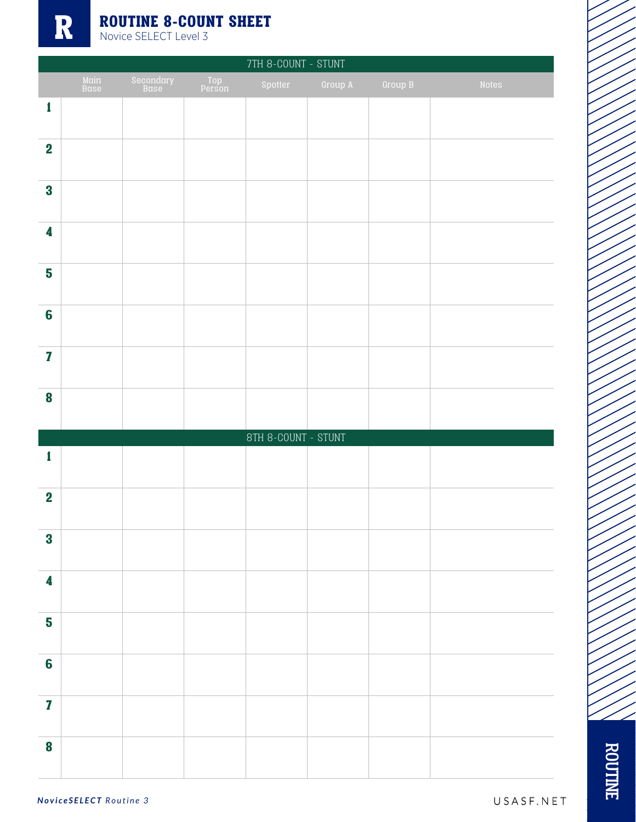R

## **ROUTINE 8-COUNT SHEET** Novice SELECT Level 3

|                         | 7TH 8-COUNT - STUNT |                   |               |                     |         |         |       |  |
|-------------------------|---------------------|-------------------|---------------|---------------------|---------|---------|-------|--|
|                         | Main<br>Base        | Secondary<br>Base | Top<br>Person | Spotter             | Group A | Group B | Notes |  |
| $\pmb{1}$               |                     |                   |               |                     |         |         |       |  |
| $\overline{\mathbf{2}}$ |                     |                   |               |                     |         |         |       |  |
| $\bf{3}$                |                     |                   |               |                     |         |         |       |  |
| 4                       |                     |                   |               |                     |         |         |       |  |
| 5                       |                     |                   |               |                     |         |         |       |  |
| $6\phantom{1}6$         |                     |                   |               |                     |         |         |       |  |
| $\overline{\mathbf{I}}$ |                     |                   |               |                     |         |         |       |  |
| $\boldsymbol{8}$        |                     |                   |               |                     |         |         |       |  |
|                         |                     |                   |               | 8TH 8-COUNT - STUNT |         |         |       |  |
| 1                       |                     |                   |               |                     |         |         |       |  |
| $\overline{\mathbf{2}}$ |                     |                   |               |                     |         |         |       |  |
| $\bf{3}$                |                     |                   |               |                     |         |         |       |  |
| $\overline{\mathbf{4}}$ |                     |                   |               |                     |         |         |       |  |
| $\overline{\mathbf{5}}$ |                     |                   |               |                     |         |         |       |  |
| $6\phantom{a}$          |                     |                   |               |                     |         |         |       |  |
| $\mathbf{Z}$            |                     |                   |               |                     |         |         |       |  |
| $\boldsymbol{8}$        |                     |                   |               |                     |         |         |       |  |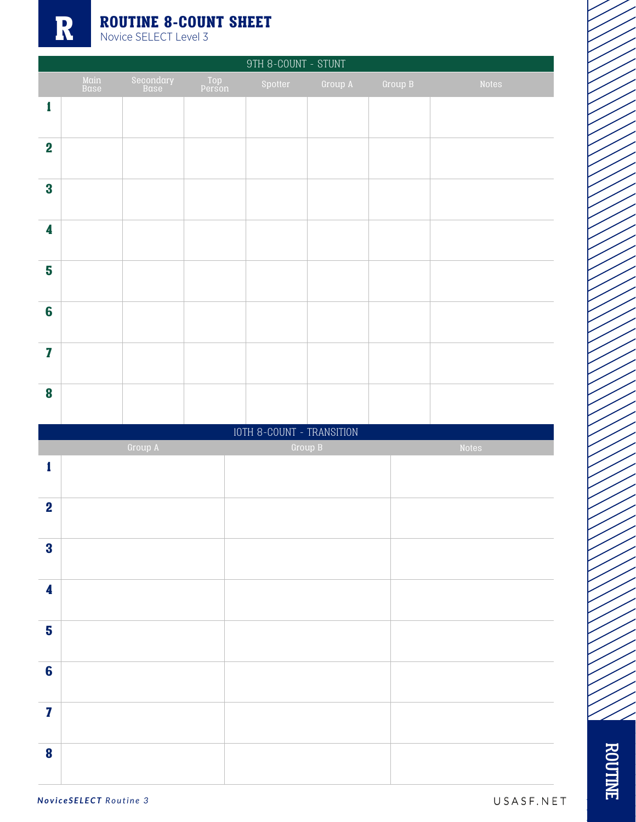|                         |              |                   |               | $9\mathrm{TH}$ 8-COUNT - $8\mathrm{T}$ |         |         |       |
|-------------------------|--------------|-------------------|---------------|----------------------------------------|---------|---------|-------|
|                         | Main<br>Base | Secondary<br>Base | Top<br>Person | Spotter                                | Group A | Group B | Notes |
| $\mathbf{1}$            |              |                   |               |                                        |         |         |       |
|                         |              |                   |               |                                        |         |         |       |
| $\overline{\mathbf{2}}$ |              |                   |               |                                        |         |         |       |
| $\bf{3}$                |              |                   |               |                                        |         |         |       |
|                         |              |                   |               |                                        |         |         |       |
| 4                       |              |                   |               |                                        |         |         |       |
| 5                       |              |                   |               |                                        |         |         |       |
|                         |              |                   |               |                                        |         |         |       |
| $6\phantom{a}$          |              |                   |               |                                        |         |         |       |
| $\mathbf{Z}$            |              |                   |               |                                        |         |         |       |
| $\bf{8}$                |              |                   |               |                                        |         |         |       |
|                         |              |                   |               |                                        |         |         |       |
|                         |              |                   |               | IOTH 8-COUNT - TRANSITION              |         |         |       |
|                         |              | Group A           |               |                                        | Group B |         | Notes |
| $\mathbf{1}$            |              |                   |               |                                        |         |         |       |
| $\mathbf 2$             |              |                   |               |                                        |         |         |       |
| $\overline{\mathbf{3}}$ |              |                   |               |                                        |         |         |       |
|                         |              |                   |               |                                        |         |         |       |
| $\overline{\mathbf{4}}$ |              |                   |               |                                        |         |         |       |
| $\overline{\mathbf{5}}$ |              |                   |               |                                        |         |         |       |
| $6\phantom{a}$          |              |                   |               |                                        |         |         |       |
|                         |              |                   |               |                                        |         |         |       |
| $\mathbf{7}$            |              |                   |               |                                        |         |         |       |
| $\bf{8}$                |              |                   |               |                                        |         |         |       |

*NoviceSELECT Routine 3* USASF.NET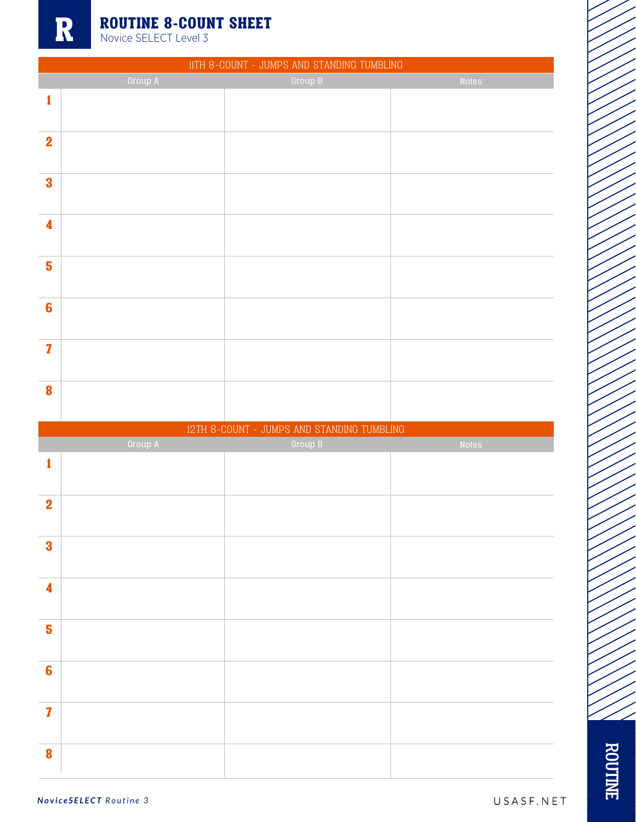|                         | IITH 8-COUNT - JUMPS AND STANDING TUMBLING |                                            |       |  |  |  |  |  |
|-------------------------|--------------------------------------------|--------------------------------------------|-------|--|--|--|--|--|
|                         | Group A                                    | Group B                                    | Notes |  |  |  |  |  |
| 1                       |                                            |                                            |       |  |  |  |  |  |
|                         |                                            |                                            |       |  |  |  |  |  |
|                         |                                            |                                            |       |  |  |  |  |  |
| $\mathbf 2$             |                                            |                                            |       |  |  |  |  |  |
|                         |                                            |                                            |       |  |  |  |  |  |
| $\overline{\mathbf{3}}$ |                                            |                                            |       |  |  |  |  |  |
|                         |                                            |                                            |       |  |  |  |  |  |
|                         |                                            |                                            |       |  |  |  |  |  |
| $\overline{\mathbf{4}}$ |                                            |                                            |       |  |  |  |  |  |
|                         |                                            |                                            |       |  |  |  |  |  |
| 5                       |                                            |                                            |       |  |  |  |  |  |
|                         |                                            |                                            |       |  |  |  |  |  |
|                         |                                            |                                            |       |  |  |  |  |  |
| $6\phantom{a}$          |                                            |                                            |       |  |  |  |  |  |
|                         |                                            |                                            |       |  |  |  |  |  |
|                         |                                            |                                            |       |  |  |  |  |  |
| $\overline{\mathbf{z}}$ |                                            |                                            |       |  |  |  |  |  |
|                         |                                            |                                            |       |  |  |  |  |  |
| $\bf{8}$                |                                            |                                            |       |  |  |  |  |  |
|                         |                                            |                                            |       |  |  |  |  |  |
|                         |                                            |                                            |       |  |  |  |  |  |
|                         |                                            |                                            |       |  |  |  |  |  |
|                         |                                            | I2TH 8-COUNT - JUMPS AND STANDING TUMBLING |       |  |  |  |  |  |
|                         | Group A                                    | Group B                                    | Notes |  |  |  |  |  |
| 1                       |                                            |                                            |       |  |  |  |  |  |
|                         |                                            |                                            |       |  |  |  |  |  |
| $\mathbf 2$             |                                            |                                            |       |  |  |  |  |  |
|                         |                                            |                                            |       |  |  |  |  |  |
|                         |                                            |                                            |       |  |  |  |  |  |
| $\bf{3}$                |                                            |                                            |       |  |  |  |  |  |
|                         |                                            |                                            |       |  |  |  |  |  |
|                         |                                            |                                            |       |  |  |  |  |  |
| $\overline{\mathbf{4}}$ |                                            |                                            |       |  |  |  |  |  |
|                         |                                            |                                            |       |  |  |  |  |  |
| 5                       |                                            |                                            |       |  |  |  |  |  |
|                         |                                            |                                            |       |  |  |  |  |  |
|                         |                                            |                                            |       |  |  |  |  |  |
| $6\phantom{a}$          |                                            |                                            |       |  |  |  |  |  |
|                         |                                            |                                            |       |  |  |  |  |  |
| $\overline{\mathbf{z}}$ |                                            |                                            |       |  |  |  |  |  |
|                         |                                            |                                            |       |  |  |  |  |  |
| 8                       |                                            |                                            |       |  |  |  |  |  |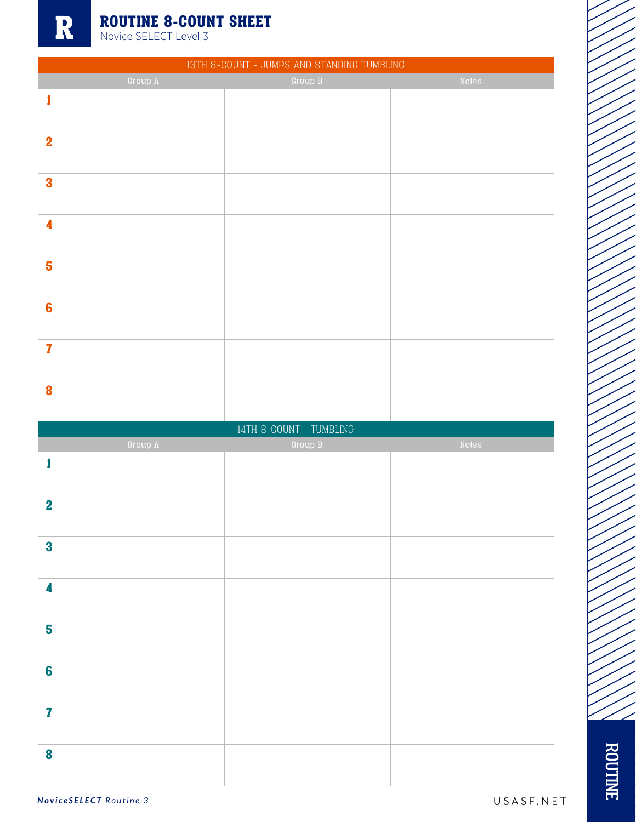|                         |         | I3TH 8-COUNT - JUMPS AND STANDING TUMBLING |       |
|-------------------------|---------|--------------------------------------------|-------|
|                         | Group A | Group B                                    | Notes |
| $\mathbf{1}$            |         |                                            |       |
|                         |         |                                            |       |
|                         |         |                                            |       |
| $\mathbf 2$             |         |                                            |       |
|                         |         |                                            |       |
| $\overline{\mathbf{3}}$ |         |                                            |       |
|                         |         |                                            |       |
|                         |         |                                            |       |
| $\overline{\mathbf{4}}$ |         |                                            |       |
|                         |         |                                            |       |
| 5                       |         |                                            |       |
|                         |         |                                            |       |
|                         |         |                                            |       |
| $6\phantom{a}$          |         |                                            |       |
|                         |         |                                            |       |
| $\overline{\mathbf{z}}$ |         |                                            |       |
|                         |         |                                            |       |
|                         |         |                                            |       |
| 8                       |         |                                            |       |
|                         |         |                                            |       |
|                         |         | $14TH$ 8-COUNT - TUMBLING                  |       |
|                         |         |                                            |       |
|                         | Group A | Group B                                    | Notes |
| 1                       |         |                                            |       |
|                         |         |                                            |       |
|                         |         |                                            |       |
| $\overline{\mathbf{2}}$ |         |                                            |       |
|                         |         |                                            |       |
| $\bf{3}$                |         |                                            |       |
|                         |         |                                            |       |
|                         |         |                                            |       |
| 4                       |         |                                            |       |
|                         |         |                                            |       |
| 5                       |         |                                            |       |
|                         |         |                                            |       |
|                         |         |                                            |       |
| $6\phantom{a}$          |         |                                            |       |
|                         |         |                                            |       |
| $\overline{\mathbf{z}}$ |         |                                            |       |
|                         |         |                                            |       |
| 8                       |         |                                            |       |

ROUTINE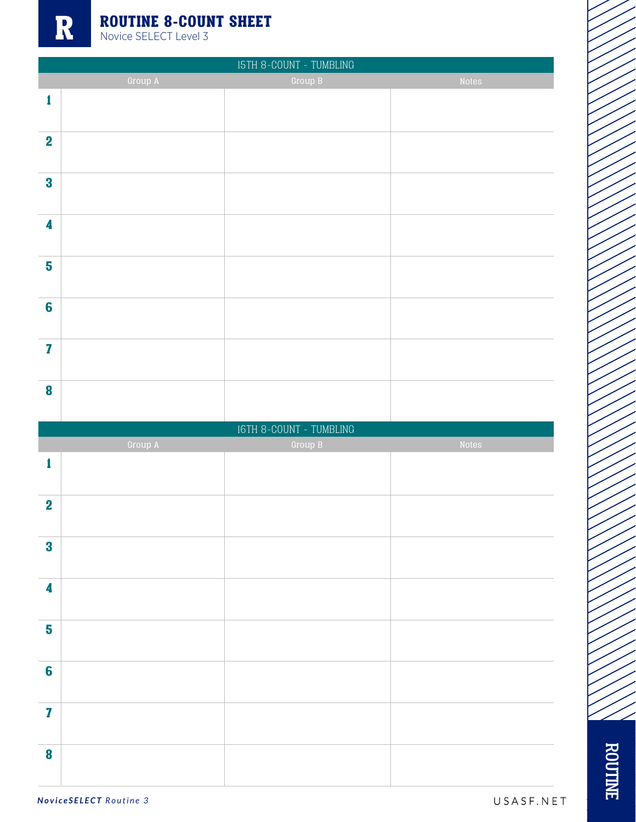|                         |         | $\operatorname{\mathsf{I5TH}}$ 8-COUNT - TUMBLING |       |
|-------------------------|---------|---------------------------------------------------|-------|
|                         | Group A | Group B                                           | Notes |
| 1                       |         |                                                   |       |
|                         |         |                                                   |       |
|                         |         |                                                   |       |
| $\mathbf 2$             |         |                                                   |       |
|                         |         |                                                   |       |
| $\bf{3}$                |         |                                                   |       |
|                         |         |                                                   |       |
|                         |         |                                                   |       |
| 4                       |         |                                                   |       |
|                         |         |                                                   |       |
|                         |         |                                                   |       |
| 5                       |         |                                                   |       |
|                         |         |                                                   |       |
| $6\phantom{a}$          |         |                                                   |       |
|                         |         |                                                   |       |
|                         |         |                                                   |       |
| $\overline{\mathbf{z}}$ |         |                                                   |       |
|                         |         |                                                   |       |
|                         |         |                                                   |       |
| 8                       |         |                                                   |       |
|                         |         |                                                   |       |
|                         |         |                                                   |       |
|                         |         | $\texttt{16TH}$ 8-COUNT - TUMBLING                |       |
|                         | Group A | Group B                                           | Notes |
| 1                       |         |                                                   |       |
|                         |         |                                                   |       |
|                         |         |                                                   |       |
| $\overline{\mathbf{2}}$ |         |                                                   |       |
|                         |         |                                                   |       |
|                         |         |                                                   |       |
| $\bf{3}$                |         |                                                   |       |
|                         |         |                                                   |       |
| 4                       |         |                                                   |       |
|                         |         |                                                   |       |
|                         |         |                                                   |       |
| 5                       |         |                                                   |       |
|                         |         |                                                   |       |
|                         |         |                                                   |       |
| $6\phantom{a}$          |         |                                                   |       |
|                         |         |                                                   |       |
| $\mathbf{Z}$            |         |                                                   |       |
|                         |         |                                                   |       |
|                         |         |                                                   |       |
| 8                       |         |                                                   |       |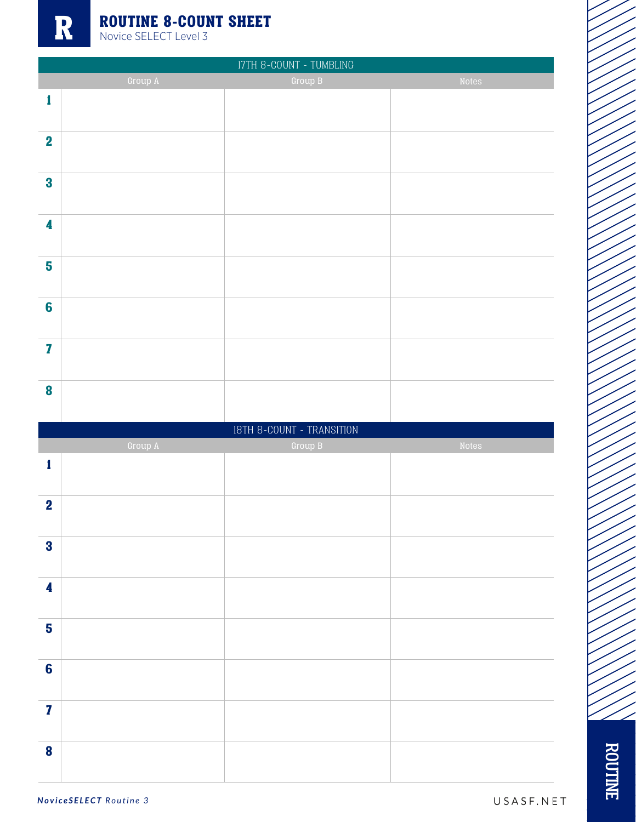

|                         |         | $\ensuremath{\mathsf{I7TH}}$ 8-COUNT - TUMBLING |       |
|-------------------------|---------|-------------------------------------------------|-------|
|                         | Group A | Group B                                         | Notes |
| $\mathbf{1}$            |         |                                                 |       |
|                         |         |                                                 |       |
|                         |         |                                                 |       |
| $\mathbf 2$             |         |                                                 |       |
|                         |         |                                                 |       |
| $\bf{3}$                |         |                                                 |       |
|                         |         |                                                 |       |
| 4                       |         |                                                 |       |
|                         |         |                                                 |       |
|                         |         |                                                 |       |
| 5                       |         |                                                 |       |
|                         |         |                                                 |       |
| $6\phantom{a}$          |         |                                                 |       |
|                         |         |                                                 |       |
|                         |         |                                                 |       |
| $\overline{\mathbf{I}}$ |         |                                                 |       |
|                         |         |                                                 |       |
| $\boldsymbol{8}$        |         |                                                 |       |
|                         |         |                                                 |       |
|                         |         |                                                 |       |
|                         |         |                                                 |       |
|                         |         | 18TH 8-COUNT - TRANSITION                       |       |
|                         | Group A | Group B                                         | Notes |
| 1                       |         |                                                 |       |
|                         |         |                                                 |       |
| $\overline{\mathbf{2}}$ |         |                                                 |       |
|                         |         |                                                 |       |
| $\bf{3}$                |         |                                                 |       |
|                         |         |                                                 |       |
|                         |         |                                                 |       |
| 4                       |         |                                                 |       |
|                         |         |                                                 |       |
| $\overline{\mathbf{5}}$ |         |                                                 |       |
|                         |         |                                                 |       |
|                         |         |                                                 |       |
| $6\phantom{a}$          |         |                                                 |       |
|                         |         |                                                 |       |
| $\mathbf{Z}$            |         |                                                 |       |
|                         |         |                                                 |       |
| $\bf{8}$                |         |                                                 |       |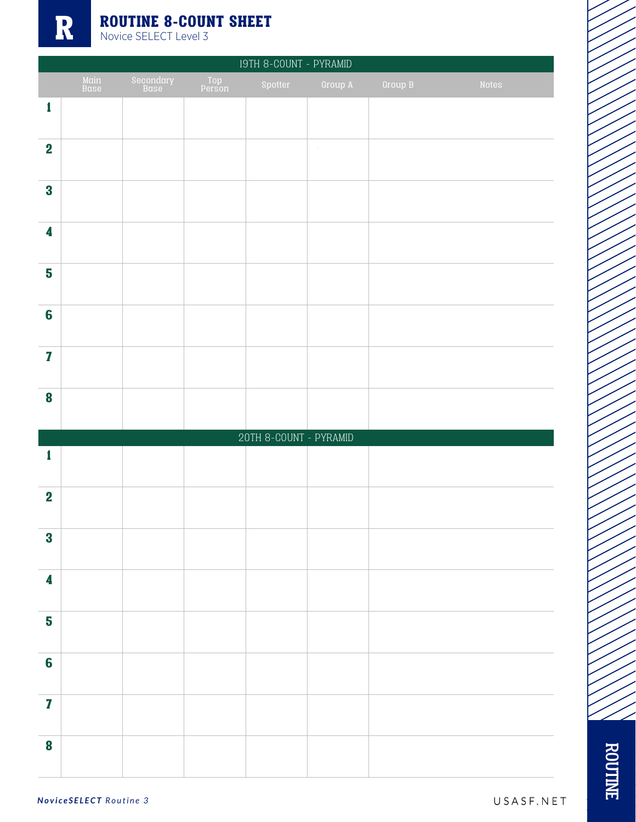|                         |              |                   |               | 19TH 8-COUNT - PYRAMID |         |         |       |
|-------------------------|--------------|-------------------|---------------|------------------------|---------|---------|-------|
|                         | Main<br>Base | Secondary<br>Base | Top<br>Person | Spotter                | Group A | Group B | Notes |
| $\mathbf{1}$            |              |                   |               |                        |         |         |       |
| $\overline{\mathbf{2}}$ |              |                   |               |                        | $\sim$  |         |       |
| $\bf{3}$                |              |                   |               |                        |         |         |       |
| $\overline{\mathbf{4}}$ |              |                   |               |                        |         |         |       |
| 5                       |              |                   |               |                        |         |         |       |
| $6\phantom{1}6$         |              |                   |               |                        |         |         |       |
| $\overline{\mathbf{I}}$ |              |                   |               |                        |         |         |       |
| $\bf{8}$                |              |                   |               |                        |         |         |       |
|                         |              |                   |               | 20TH 8-COUNT - PYRAMID |         |         |       |
| $\mathbf{1}$            |              |                   |               |                        |         |         |       |
| $\mathbf 2$             |              |                   |               |                        |         |         |       |
| $\overline{\mathbf{3}}$ |              |                   |               |                        |         |         |       |
| $\overline{\mathbf{4}}$ |              |                   |               |                        |         |         |       |
| $\overline{\mathbf{5}}$ |              |                   |               |                        |         |         |       |
| $6\phantom{a}$          |              |                   |               |                        |         |         |       |
| $\mathbf{Z}$            |              |                   |               |                        |         |         |       |
| $\bf{8}$                |              |                   |               |                        |         |         |       |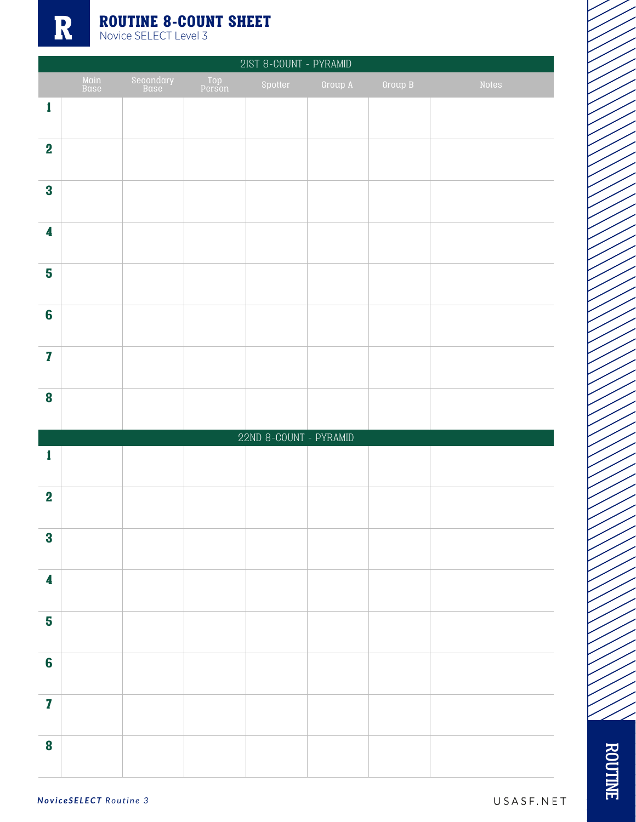

| 2IST 8-COUNT - PYRAMID  |              |                   |               |                        |         |         |       |
|-------------------------|--------------|-------------------|---------------|------------------------|---------|---------|-------|
|                         | Main<br>Base | Secondary<br>Base | Top<br>Person | Spotter                | Group A | Group B | Notes |
| $\mathbf{1}$            |              |                   |               |                        |         |         |       |
| $\overline{\mathbf{2}}$ |              |                   |               |                        |         |         |       |
| $\bf{3}$                |              |                   |               |                        |         |         |       |
| $\overline{\mathbf{4}}$ |              |                   |               |                        |         |         |       |
| 5                       |              |                   |               |                        |         |         |       |
| $6\phantom{a}$          |              |                   |               |                        |         |         |       |
| $\overline{\mathbf{Z}}$ |              |                   |               |                        |         |         |       |
| $\bf{8}$                |              |                   |               |                        |         |         |       |
|                         |              |                   |               | 22ND 8-COUNT - PYRAMID |         |         |       |
| 1                       |              |                   |               |                        |         |         |       |
| $\mathbf 2$             |              |                   |               |                        |         |         |       |
| $\bf{3}$                |              |                   |               |                        |         |         |       |
| $\overline{\mathbf{4}}$ |              |                   |               |                        |         |         |       |
| 5                       |              |                   |               |                        |         |         |       |
| $6\phantom{a}$          |              |                   |               |                        |         |         |       |
| $\mathbf{Z}$            |              |                   |               |                        |         |         |       |
| $\bf{8}$                |              |                   |               |                        |         |         |       |

ROUTINE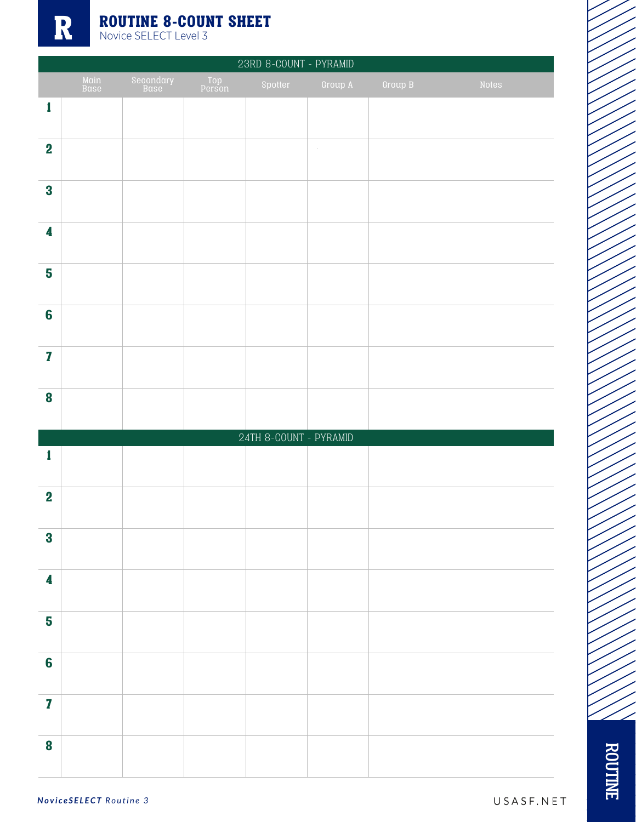

| 23RD 8-COUNT - PYRAMID  |              |                   |               |                        |         |         |       |
|-------------------------|--------------|-------------------|---------------|------------------------|---------|---------|-------|
|                         | Main<br>Base | Secondary<br>Base | Top<br>Person | Spotter                | Group A | Group B | Notes |
| $\mathbf{1}$            |              |                   |               |                        |         |         |       |
| $\overline{\mathbf{2}}$ |              |                   |               |                        | $\sim$  |         |       |
| $\bf{3}$                |              |                   |               |                        |         |         |       |
| $\overline{\mathbf{4}}$ |              |                   |               |                        |         |         |       |
| 5                       |              |                   |               |                        |         |         |       |
| $6\phantom{a}$          |              |                   |               |                        |         |         |       |
| $\overline{\mathbf{z}}$ |              |                   |               |                        |         |         |       |
| $\bf{8}$                |              |                   |               |                        |         |         |       |
|                         |              |                   |               | 24TH 8-COUNT - PYRAMID |         |         |       |
| $\mathbf{1}$            |              |                   |               |                        |         |         |       |
| $\mathbf 2$             |              |                   |               |                        |         |         |       |
| $\bf{3}$                |              |                   |               |                        |         |         |       |
| $\overline{\mathbf{4}}$ |              |                   |               |                        |         |         |       |
| 5                       |              |                   |               |                        |         |         |       |
| $6\phantom{a}$          |              |                   |               |                        |         |         |       |
| $\mathbf{Z}$            |              |                   |               |                        |         |         |       |
| $\boldsymbol{8}$        |              |                   |               |                        |         |         |       |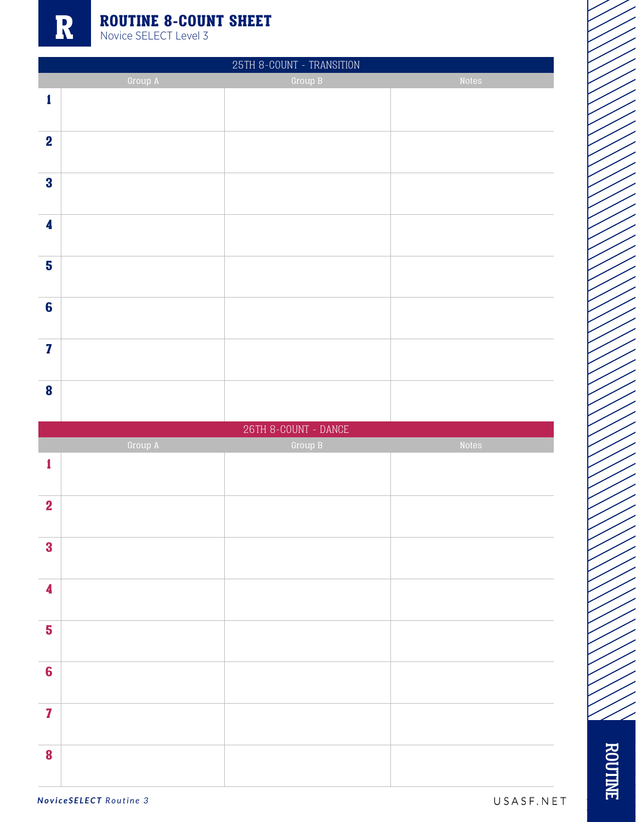| 25TH 8-COUNT - TRANSITION |         |                                 |       |  |  |  |
|---------------------------|---------|---------------------------------|-------|--|--|--|
|                           | Group A | Group B                         | Notes |  |  |  |
| $\mathbf{1}$              |         |                                 |       |  |  |  |
|                           |         |                                 |       |  |  |  |
| $\boldsymbol{2}$          |         |                                 |       |  |  |  |
|                           |         |                                 |       |  |  |  |
| $\bf{3}$                  |         |                                 |       |  |  |  |
|                           |         |                                 |       |  |  |  |
| 4                         |         |                                 |       |  |  |  |
| 5                         |         |                                 |       |  |  |  |
|                           |         |                                 |       |  |  |  |
| $6\phantom{1}6$           |         |                                 |       |  |  |  |
|                           |         |                                 |       |  |  |  |
| $\overline{\mathbf{z}}$   |         |                                 |       |  |  |  |
|                           |         |                                 |       |  |  |  |
| $\bf{8}$                  |         |                                 |       |  |  |  |
|                           |         |                                 |       |  |  |  |
|                           |         |                                 |       |  |  |  |
|                           |         | $26\mathrm{TH}$ 8-COUNT - DANCE |       |  |  |  |
|                           | Group A | Group B                         | Notes |  |  |  |
| 1                         |         |                                 |       |  |  |  |
|                           |         |                                 |       |  |  |  |
| $\overline{\mathbf{2}}$   |         |                                 |       |  |  |  |
|                           |         |                                 |       |  |  |  |
| $\bf{3}$                  |         |                                 |       |  |  |  |
|                           |         |                                 |       |  |  |  |
| $\boldsymbol{4}$          |         |                                 |       |  |  |  |
|                           |         |                                 |       |  |  |  |
| 5                         |         |                                 |       |  |  |  |
| $6\phantom{1}6$           |         |                                 |       |  |  |  |
|                           |         |                                 |       |  |  |  |
| $\mathbf{7}$              |         |                                 |       |  |  |  |
|                           |         |                                 |       |  |  |  |
| 8                         |         |                                 |       |  |  |  |

ROUTINE